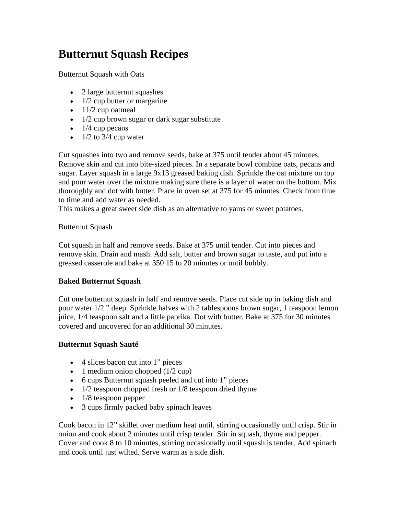## **Butternut Squash Recipes**

Butternut Squash with Oats

- 2 large butternut squashes
- $\bullet$  1/2 cup butter or margarine
- $\bullet$  11/2 cup oatmeal
- $\bullet$  1/2 cup brown sugar or dark sugar substitute
- $\bullet$  1/4 cup pecans
- $\bullet$  1/2 to 3/4 cup water

Cut squashes into two and remove seeds, bake at 375 until tender about 45 minutes. Remove skin and cut into bite-sized pieces. In a separate bowl combine oats, pecans and sugar. Layer squash in a large 9x13 greased baking dish. Sprinkle the oat mixture on top and pour water over the mixture making sure there is a layer of water on the bottom. Mix thoroughly and dot with butter. Place in oven set at 375 for 45 minutes. Check from time to time and add water as needed.

This makes a great sweet side dish as an alternative to yams or sweet potatoes.

## Butternut Squash

Cut squash in half and remove seeds. Bake at 375 until tender. Cut into pieces and remove skin. Drain and mash. Add salt, butter and brown sugar to taste, and put into a greased casserole and bake at 350 15 to 20 minutes or until bubbly.

## **Baked Butternut Squash**

Cut one butternut squash in half and remove seeds. Place cut side up in baking dish and pour water 1/2 " deep. Sprinkle halves with 2 tablespoons brown sugar, 1 teaspoon lemon juice, 1/4 teaspoon salt and a little paprika. Dot with butter. Bake at 375 for 30 minutes covered and uncovered for an additional 30 minutes.

## **Butternut Squash Sauté**

- 4 slices bacon cut into 1" pieces
- 1 medium onion chopped  $(1/2 \text{ cup})$
- 6 cups Butternut squash peeled and cut into 1" pieces
- $\bullet$  1/2 teaspoon chopped fresh or 1/8 teaspoon dried thyme
- 1/8 teaspoon pepper
- 3 cups firmly packed baby spinach leaves

Cook bacon in 12" skillet over medium heat until, stirring occasionally until crisp. Stir in onion and cook about 2 minutes until crisp tender. Stir in squash, thyme and pepper. Cover and cook 8 to 10 minutes, stirring occasionally until squash is tender. Add spinach and cook until just wilted. Serve warm as a side dish.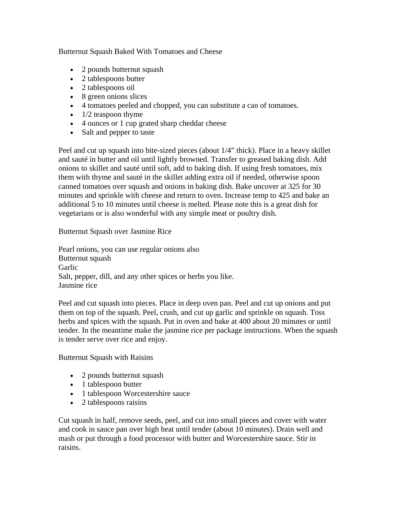Butternut Squash Baked With Tomatoes and Cheese

- 2 pounds butternut squash
- 2 tablespoons butter
- 2 tablespoons oil
- 8 green onions slices
- 4 tomatoes peeled and chopped, you can substitute a can of tomatoes.
- $\bullet$  1/2 teaspoon thyme
- 4 ounces or 1 cup grated sharp cheddar cheese
- Salt and pepper to taste

Peel and cut up squash into bite-sized pieces (about 1/4" thick). Place in a heavy skillet and sauté in butter and oil until lightly browned. Transfer to greased baking dish. Add onions to skillet and sauté until soft, add to baking dish. If using fresh tomatoes, mix them with thyme and sauté in the skillet adding extra oil if needed, otherwise spoon canned tomatoes over squash and onions in baking dish. Bake uncover at 325 for 30 minutes and sprinkle with cheese and return to oven. Increase temp to 425 and bake an additional 5 to 10 minutes until cheese is melted. Please note this is a great dish for vegetarians or is also wonderful with any simple meat or poultry dish.

Butternut Squash over Jasmine Rice

Pearl onions, you can use regular onions also Butternut squash Garlic Salt, pepper, dill, and any other spices or herbs you like. Jasmine rice

Peel and cut squash into pieces. Place in deep oven pan. Peel and cut up onions and put them on top of the squash. Peel, crush, and cut up garlic and sprinkle on squash. Toss herbs and spices with the squash. Put in oven and bake at 400 about 20 minutes or until tender. In the meantime make the jasmine rice per package instructions. When the squash is tender serve over rice and enjoy.

Butternut Squash with Raisins

- 2 pounds butternut squash
- 1 tablespoon butter
- 1 tablespoon Worcestershire sauce
- 2 tablespoons raisins

Cut squash in half, remove seeds, peel, and cut into small pieces and cover with water and cook in sauce pan over high heat until tender (about 10 minutes). Drain well and mash or put through a food processor with butter and Worcestershire sauce. Stir in raisins.